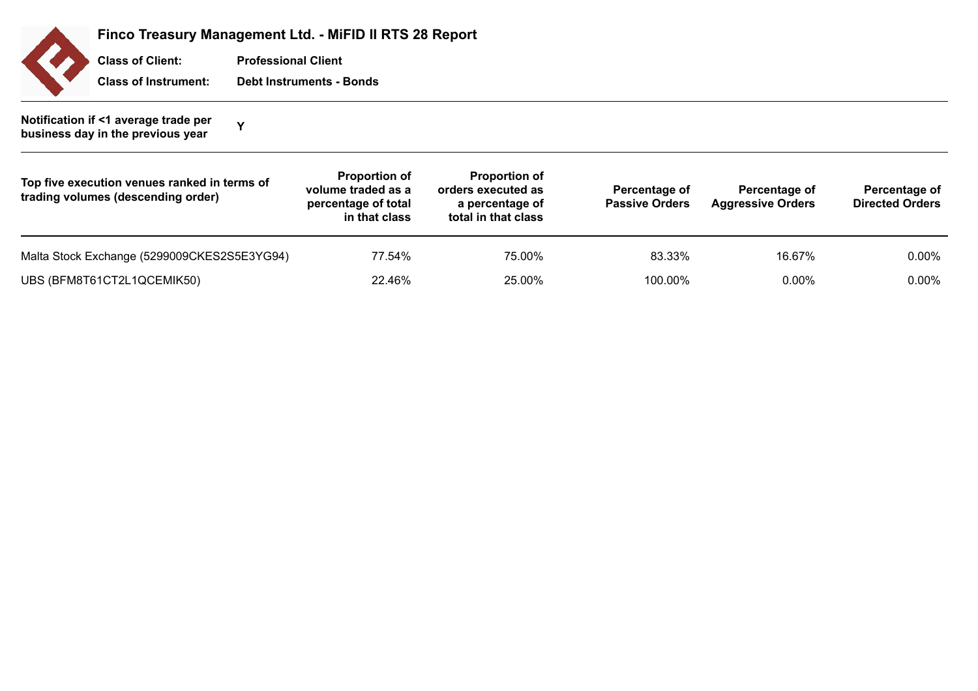| <b>Finco</b> |
|--------------|
| <b>Class</b> |
| <b>Class</b> |

**Finco Treasury Management Ltd. - MiFID II RTS 28 Report**

**Professional Client Class of Instrument: Debt Instruments - Bonds c** Client:

**Notification if <1 average trade per business day in the previous year Propendical V**<br>**business day in the previous year** 

| Top five execution venues ranked in terms of<br>trading volumes (descending order) | <b>Proportion of</b><br>volume traded as a<br>percentage of total<br>in that class | <b>Proportion of</b><br>orders executed as<br>a percentage of<br>total in that class | Percentage of<br><b>Passive Orders</b> | Percentage of<br><b>Aggressive Orders</b> | Percentage of<br><b>Directed Orders</b> |
|------------------------------------------------------------------------------------|------------------------------------------------------------------------------------|--------------------------------------------------------------------------------------|----------------------------------------|-------------------------------------------|-----------------------------------------|
| Malta Stock Exchange (5299009CKES2S5E3YG94)                                        | 77.54%                                                                             | 75.00%                                                                               | 83.33%                                 | 16.67%                                    | $0.00\%$                                |
| UBS (BFM8T61CT2L1QCEMIK50)                                                         | 22.46%                                                                             | 25.00%                                                                               | 100.00%                                | $0.00\%$                                  | $0.00\%$                                |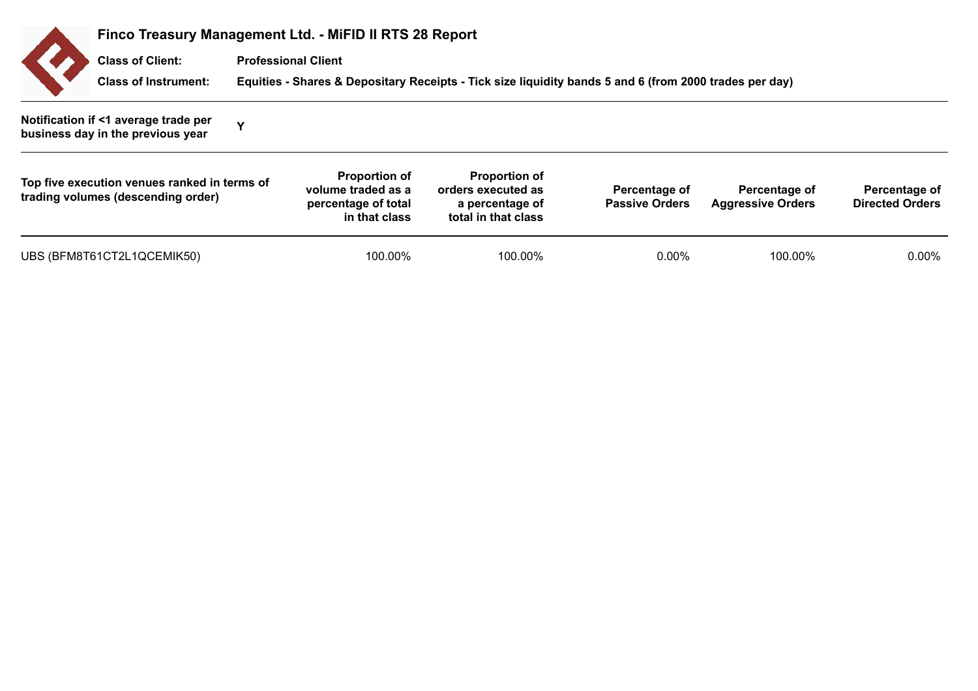| Finco Treasury Management Ltd. - MiFID II RTS 28 Report                            |             |                                                                                    |                                                                                                        |                                        |                                           |                                         |  |  |  |
|------------------------------------------------------------------------------------|-------------|------------------------------------------------------------------------------------|--------------------------------------------------------------------------------------------------------|----------------------------------------|-------------------------------------------|-----------------------------------------|--|--|--|
| <b>Class of Client:</b>                                                            |             | <b>Professional Client</b>                                                         |                                                                                                        |                                        |                                           |                                         |  |  |  |
| <b>Class of Instrument:</b>                                                        |             |                                                                                    | Equities - Shares & Depositary Receipts - Tick size liquidity bands 5 and 6 (from 2000 trades per day) |                                        |                                           |                                         |  |  |  |
| Notification if <1 average trade per<br>business day in the previous year          | $\mathbf v$ |                                                                                    |                                                                                                        |                                        |                                           |                                         |  |  |  |
| Top five execution venues ranked in terms of<br>trading volumes (descending order) |             | <b>Proportion of</b><br>volume traded as a<br>percentage of total<br>in that class | <b>Proportion of</b><br>orders executed as<br>a percentage of<br>total in that class                   | Percentage of<br><b>Passive Orders</b> | Percentage of<br><b>Aggressive Orders</b> | Percentage of<br><b>Directed Orders</b> |  |  |  |
| UBS (BFM8T61CT2L1QCEMIK50)                                                         |             | 100.00%                                                                            | 100.00%                                                                                                | $0.00\%$                               | 100.00%                                   | $0.00\%$                                |  |  |  |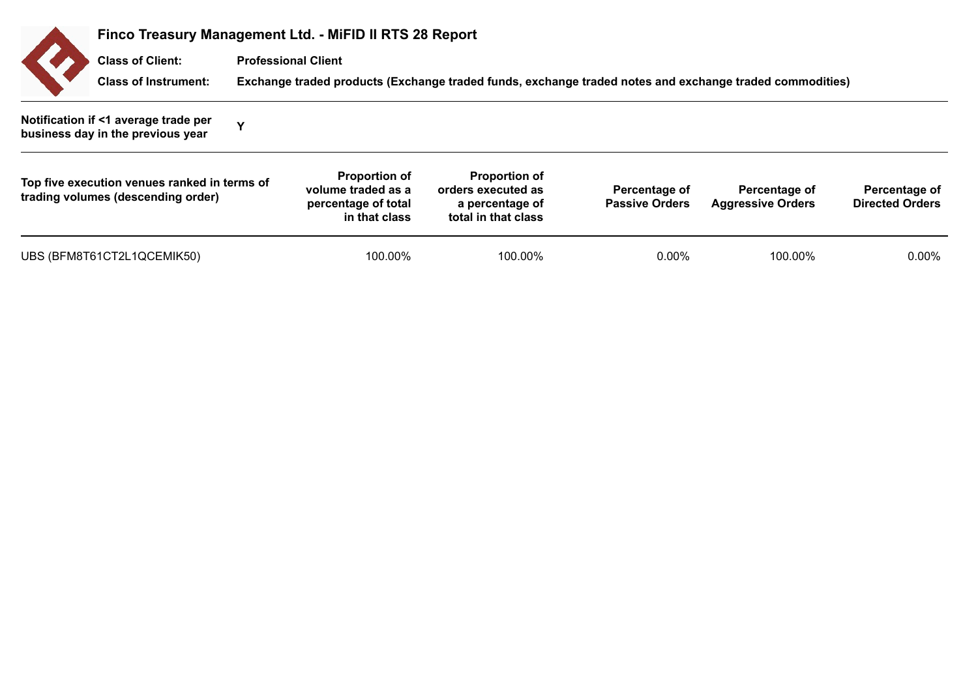|                                                                                    |             | Finco Treasury Management Ltd. - MiFID II RTS 28 Report                            |                                                                                                         |                                        |                                           |                                         |  |  |  |
|------------------------------------------------------------------------------------|-------------|------------------------------------------------------------------------------------|---------------------------------------------------------------------------------------------------------|----------------------------------------|-------------------------------------------|-----------------------------------------|--|--|--|
| <b>Class of Client:</b>                                                            |             | <b>Professional Client</b>                                                         |                                                                                                         |                                        |                                           |                                         |  |  |  |
| <b>Class of Instrument:</b>                                                        |             |                                                                                    | Exchange traded products (Exchange traded funds, exchange traded notes and exchange traded commodities) |                                        |                                           |                                         |  |  |  |
| Notification if <1 average trade per<br>business day in the previous year          | $\mathbf v$ |                                                                                    |                                                                                                         |                                        |                                           |                                         |  |  |  |
| Top five execution venues ranked in terms of<br>trading volumes (descending order) |             | <b>Proportion of</b><br>volume traded as a<br>percentage of total<br>in that class | <b>Proportion of</b><br>orders executed as<br>a percentage of<br>total in that class                    | Percentage of<br><b>Passive Orders</b> | Percentage of<br><b>Aggressive Orders</b> | Percentage of<br><b>Directed Orders</b> |  |  |  |
| UBS (BFM8T61CT2L1QCEMIK50)                                                         |             | 100.00%                                                                            | 100.00%                                                                                                 | $0.00\%$                               | 100.00%                                   | $0.00\%$                                |  |  |  |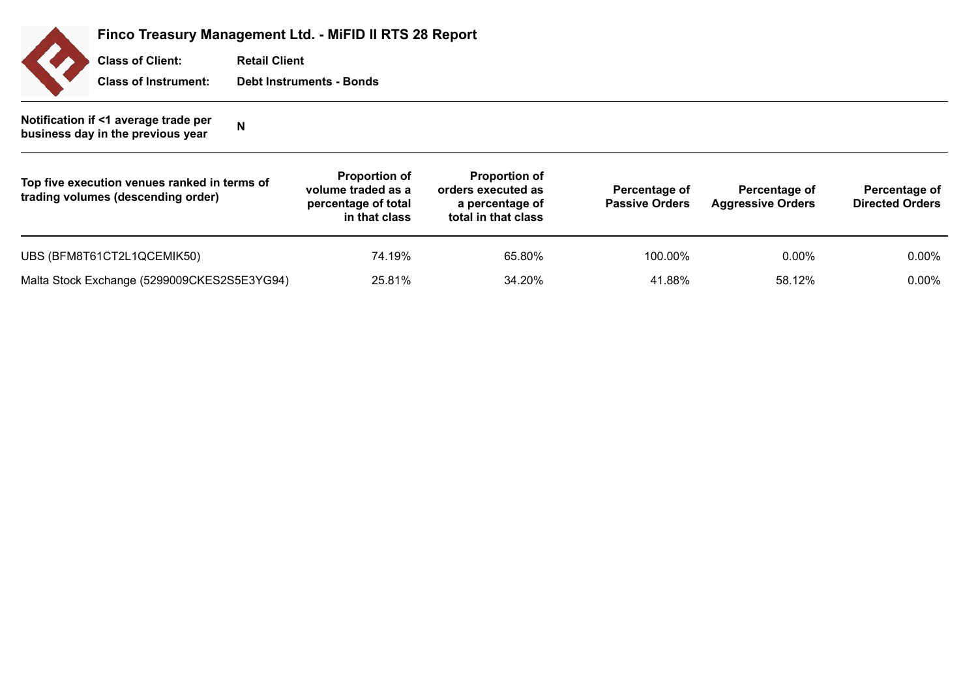

**Finco Treasury Management Ltd. - MiFID II RTS 28 Report**

**Retail Client Class of Instrument: Debt Instruments - Bonds Class of Client:**

## **Notification if <1 average trade per business day in the previous year <sup>N</sup>**

| Top five execution venues ranked in terms of<br>trading volumes (descending order) | <b>Proportion of</b><br>volume traded as a<br>percentage of total<br>in that class | <b>Proportion of</b><br>orders executed as<br>a percentage of<br>total in that class | Percentage of<br><b>Passive Orders</b> | Percentage of<br><b>Aggressive Orders</b> | Percentage of<br><b>Directed Orders</b> |
|------------------------------------------------------------------------------------|------------------------------------------------------------------------------------|--------------------------------------------------------------------------------------|----------------------------------------|-------------------------------------------|-----------------------------------------|
| UBS (BFM8T61CT2L1QCEMIK50)                                                         | 74.19%                                                                             | 65.80%                                                                               | 100.00%                                | $0.00\%$                                  | $0.00\%$                                |
| Malta Stock Exchange (5299009CKES2S5E3YG94)                                        | 25.81%                                                                             | 34.20%                                                                               | 41.88%                                 | 58.12%                                    | $0.00\%$                                |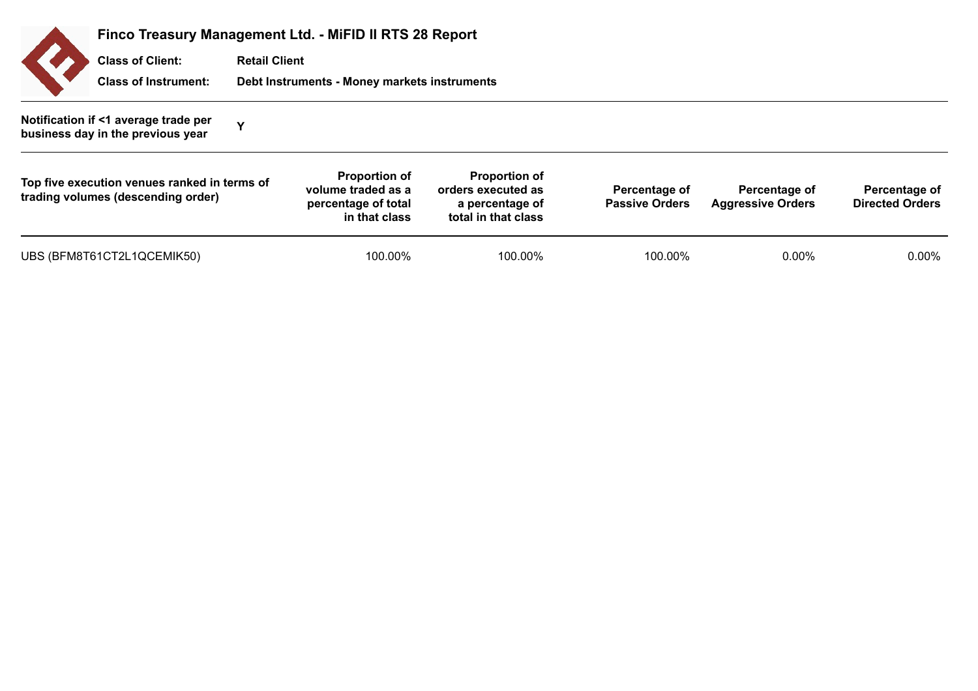| Finco Treasury Management Ltd. - MiFID II RTS 28 Report                            |                      |                                                                                    |                                                                                      |                                        |                                           |                                         |  |  |
|------------------------------------------------------------------------------------|----------------------|------------------------------------------------------------------------------------|--------------------------------------------------------------------------------------|----------------------------------------|-------------------------------------------|-----------------------------------------|--|--|
| <b>Class of Client:</b>                                                            | <b>Retail Client</b> |                                                                                    |                                                                                      |                                        |                                           |                                         |  |  |
| <b>Class of Instrument:</b>                                                        |                      | Debt Instruments - Money markets instruments                                       |                                                                                      |                                        |                                           |                                         |  |  |
| Notification if <1 average trade per<br>business day in the previous year          | Y                    |                                                                                    |                                                                                      |                                        |                                           |                                         |  |  |
| Top five execution venues ranked in terms of<br>trading volumes (descending order) |                      | <b>Proportion of</b><br>volume traded as a<br>percentage of total<br>in that class | <b>Proportion of</b><br>orders executed as<br>a percentage of<br>total in that class | Percentage of<br><b>Passive Orders</b> | Percentage of<br><b>Aggressive Orders</b> | Percentage of<br><b>Directed Orders</b> |  |  |
| UBS (BFM8T61CT2L1QCEMIK50)                                                         |                      | 100.00%                                                                            | 100.00%                                                                              | 100.00%                                | $0.00\%$                                  | $0.00\%$                                |  |  |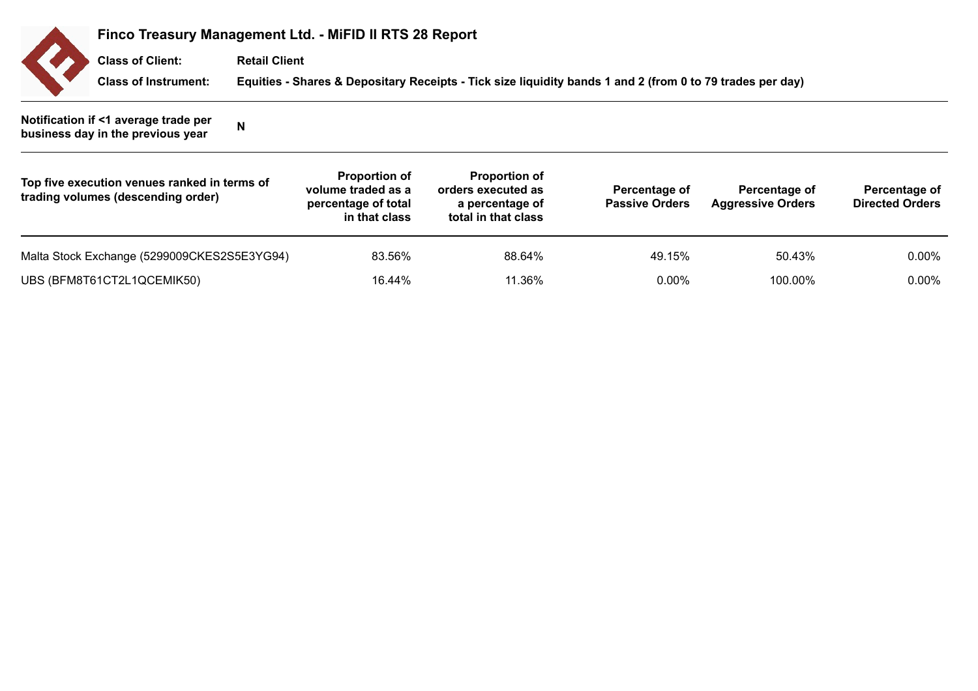

## **Finco Treasury Management Ltd. - MiFID II RTS 28 Report**

**Retail Client Class of Client:**

**Class of Instrument: Equities - Shares & Depositary Receipts - Tick size liquidity bands 1 and 2 (from 0 to 79 trades per day)**

**Notification if <1 average trade per business day in the previous year <sup>N</sup>**

| Top five execution venues ranked in terms of<br>trading volumes (descending order) | <b>Proportion of</b><br>volume traded as a<br>percentage of total<br>in that class | <b>Proportion of</b><br>orders executed as<br>a percentage of<br>total in that class | Percentage of<br><b>Passive Orders</b> | Percentage of<br><b>Aggressive Orders</b> | Percentage of<br><b>Directed Orders</b> |
|------------------------------------------------------------------------------------|------------------------------------------------------------------------------------|--------------------------------------------------------------------------------------|----------------------------------------|-------------------------------------------|-----------------------------------------|
| Malta Stock Exchange (5299009CKES2S5E3YG94)                                        | 83.56%                                                                             | 88.64%                                                                               | 49.15%                                 | 50.43%                                    | $0.00\%$                                |
| UBS (BFM8T61CT2L1QCEMIK50)                                                         | 16.44%                                                                             | 11.36%                                                                               | $0.00\%$                               | 100.00%                                   | $0.00\%$                                |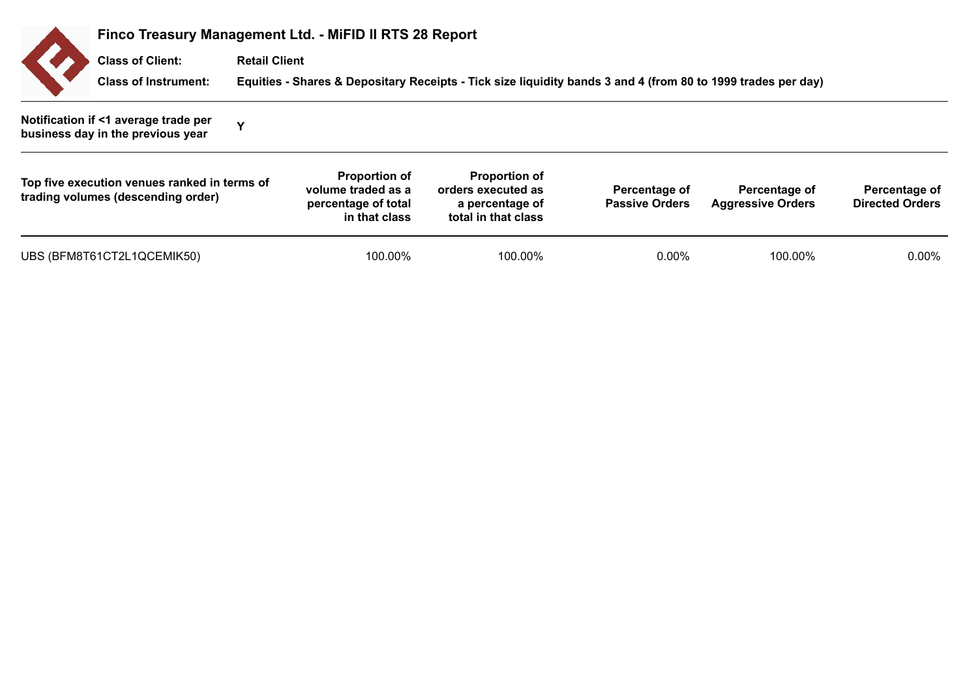| Finco Treasury Management Ltd. - MiFID II RTS 28 Report                            |                      |                                                                                    |                                                                                                              |                                        |                                           |                                         |  |  |
|------------------------------------------------------------------------------------|----------------------|------------------------------------------------------------------------------------|--------------------------------------------------------------------------------------------------------------|----------------------------------------|-------------------------------------------|-----------------------------------------|--|--|
| <b>Class of Client:</b>                                                            | <b>Retail Client</b> |                                                                                    |                                                                                                              |                                        |                                           |                                         |  |  |
| <b>Class of Instrument:</b>                                                        |                      |                                                                                    | Equities - Shares & Depositary Receipts - Tick size liquidity bands 3 and 4 (from 80 to 1999 trades per day) |                                        |                                           |                                         |  |  |
| Notification if <1 average trade per<br>business day in the previous year          | v                    |                                                                                    |                                                                                                              |                                        |                                           |                                         |  |  |
| Top five execution venues ranked in terms of<br>trading volumes (descending order) |                      | <b>Proportion of</b><br>volume traded as a<br>percentage of total<br>in that class | <b>Proportion of</b><br>orders executed as<br>a percentage of<br>total in that class                         | Percentage of<br><b>Passive Orders</b> | Percentage of<br><b>Aggressive Orders</b> | Percentage of<br><b>Directed Orders</b> |  |  |
| UBS (BFM8T61CT2L1QCEMIK50)                                                         |                      | 100.00%                                                                            | 100.00%                                                                                                      | $0.00\%$                               | 100.00%                                   | $0.00\%$                                |  |  |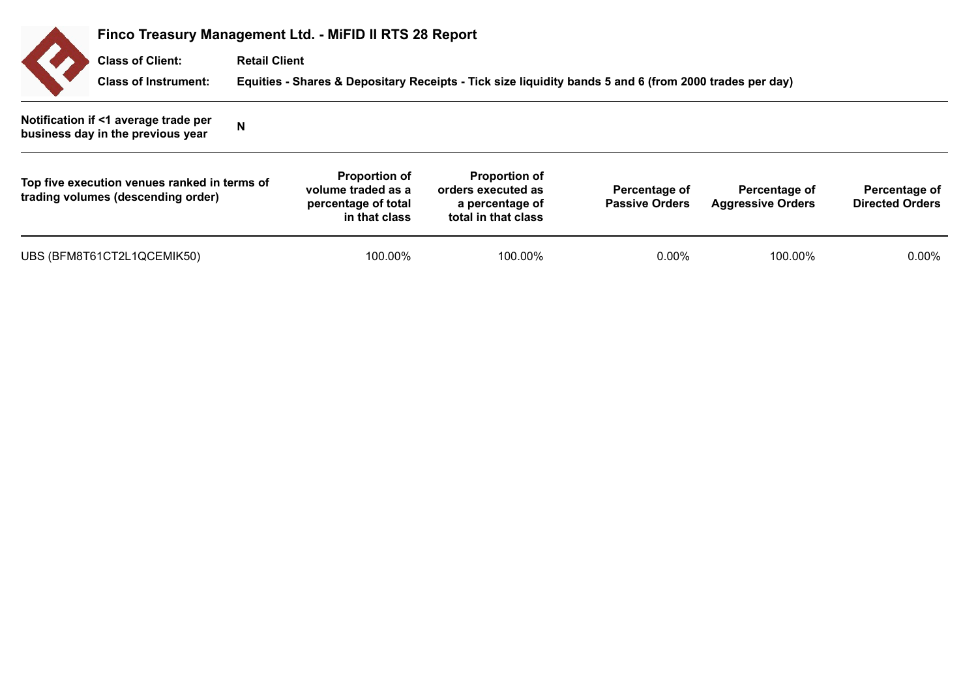|                                                                                    | Finco Treasury Management Ltd. - MiFID II RTS 28 Report |                                                                                    |                                                                                                        |                                        |                                           |                                         |  |  |  |
|------------------------------------------------------------------------------------|---------------------------------------------------------|------------------------------------------------------------------------------------|--------------------------------------------------------------------------------------------------------|----------------------------------------|-------------------------------------------|-----------------------------------------|--|--|--|
| <b>Class of Client:</b>                                                            | <b>Retail Client</b>                                    |                                                                                    |                                                                                                        |                                        |                                           |                                         |  |  |  |
| <b>Class of Instrument:</b>                                                        |                                                         |                                                                                    | Equities - Shares & Depositary Receipts - Tick size liquidity bands 5 and 6 (from 2000 trades per day) |                                        |                                           |                                         |  |  |  |
| Notification if <1 average trade per<br>business day in the previous year          | N                                                       |                                                                                    |                                                                                                        |                                        |                                           |                                         |  |  |  |
| Top five execution venues ranked in terms of<br>trading volumes (descending order) |                                                         | <b>Proportion of</b><br>volume traded as a<br>percentage of total<br>in that class | <b>Proportion of</b><br>orders executed as<br>a percentage of<br>total in that class                   | Percentage of<br><b>Passive Orders</b> | Percentage of<br><b>Aggressive Orders</b> | Percentage of<br><b>Directed Orders</b> |  |  |  |
| UBS (BFM8T61CT2L1QCEMIK50)                                                         |                                                         | 100.00%                                                                            | 100.00%                                                                                                | $0.00\%$                               | 100.00%                                   | $0.00\%$                                |  |  |  |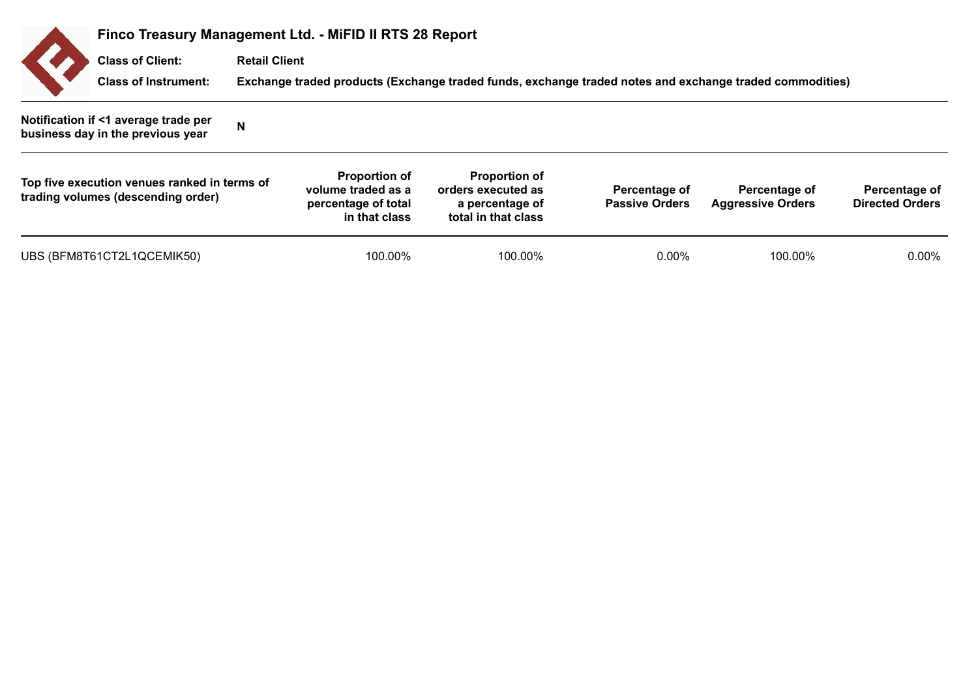|                                                                                    | Finco Treasury Management Ltd. - MiFID II RTS 28 Report |                                                                                    |                                                                                                         |                                        |                                           |                                         |  |  |  |
|------------------------------------------------------------------------------------|---------------------------------------------------------|------------------------------------------------------------------------------------|---------------------------------------------------------------------------------------------------------|----------------------------------------|-------------------------------------------|-----------------------------------------|--|--|--|
| <b>Class of Client:</b>                                                            | <b>Retail Client</b>                                    |                                                                                    |                                                                                                         |                                        |                                           |                                         |  |  |  |
| <b>Class of Instrument:</b>                                                        |                                                         |                                                                                    | Exchange traded products (Exchange traded funds, exchange traded notes and exchange traded commodities) |                                        |                                           |                                         |  |  |  |
| Notification if <1 average trade per<br>business day in the previous year          | N                                                       |                                                                                    |                                                                                                         |                                        |                                           |                                         |  |  |  |
| Top five execution venues ranked in terms of<br>trading volumes (descending order) |                                                         | <b>Proportion of</b><br>volume traded as a<br>percentage of total<br>in that class | <b>Proportion of</b><br>orders executed as<br>a percentage of<br>total in that class                    | Percentage of<br><b>Passive Orders</b> | Percentage of<br><b>Aggressive Orders</b> | Percentage of<br><b>Directed Orders</b> |  |  |  |
| UBS (BFM8T61CT2L1QCEMIK50)                                                         |                                                         | 100.00%                                                                            | 100.00%                                                                                                 | $0.00\%$                               | 100.00%                                   | 0.00%                                   |  |  |  |